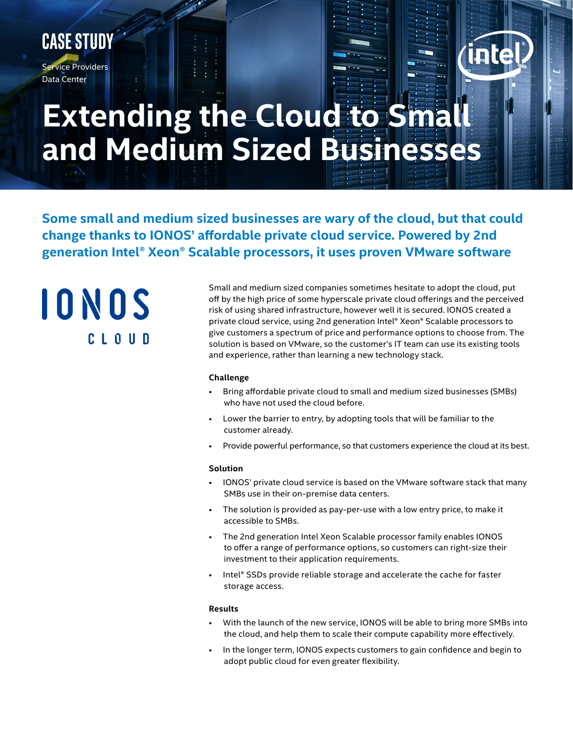# **Case Study**

Service Providers Data Center

# **Extending the Cloud to Small and Medium Sized Businesses**

**Some small and medium sized businesses are wary of the cloud, but that could change thanks to IONOS' affordable private cloud service. Powered by 2nd generation Intel® Xeon® Scalable processors, it uses proven VMware software**

IONOS CLOUD

Small and medium sized companies sometimes hesitate to adopt the cloud, put off by the high price of some hyperscale private cloud offerings and the perceived risk of using shared infrastructure, however well it is secured. IONOS created a private cloud service, using 2nd generation Intel® Xeon® Scalable processors to give customers a spectrum of price and performance options to choose from. The solution is based on VMware, so the customer's IT team can use its existing tools and experience, rather than learning a new technology stack.

#### **Challenge**

- Bring affordable private cloud to small and medium sized businesses (SMBs) who have not used the cloud before.
- Lower the barrier to entry, by adopting tools that will be familiar to the customer already.
- Provide powerful performance, so that customers experience the cloud at its best.

#### **Solution**

- IONOS' private cloud service is based on the VMware software stack that many SMBs use in their on-premise data centers.
- The solution is provided as pay-per-use with a low entry price, to make it accessible to SMBs.
- The 2nd generation Intel Xeon Scalable processor family enables IONOS to offer a range of performance options, so customers can right-size their investment to their application requirements.
- Intel® SSDs provide reliable storage and accelerate the cache for faster storage access.

#### **Results**

- With the launch of the new service, IONOS will be able to bring more SMBs into the cloud, and help them to scale their compute capability more effectively.
- In the longer term, IONOS expects customers to gain confidence and begin to adopt public cloud for even greater flexibility.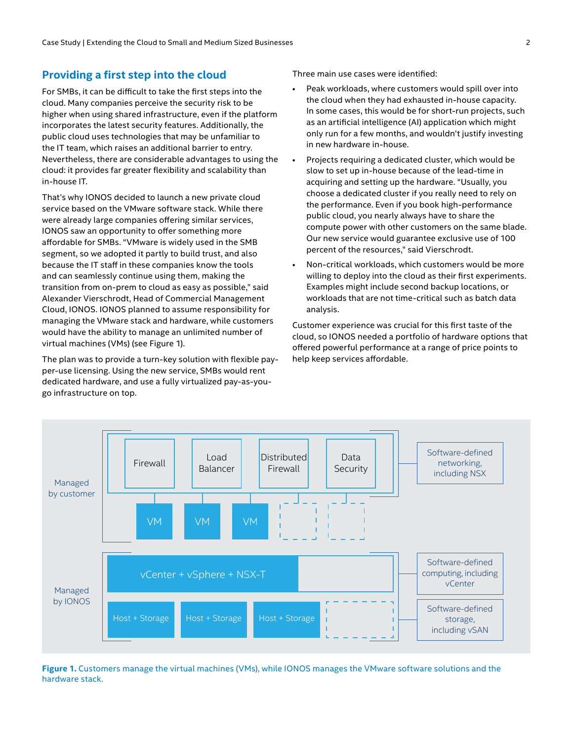#### **Providing a first step into the cloud**

For SMBs, it can be difficult to take the first steps into the cloud. Many companies perceive the security risk to be higher when using shared infrastructure, even if the platform incorporates the latest security features. Additionally, the public cloud uses technologies that may be unfamiliar to the IT team, which raises an additional barrier to entry. Nevertheless, there are considerable advantages to using the cloud: it provides far greater flexibility and scalability than in-house IT.

That's why IONOS decided to launch a new private cloud service based on the VMware software stack. While there were already large companies offering similar services, IONOS saw an opportunity to offer something more affordable for SMBs. "VMware is widely used in the SMB segment, so we adopted it partly to build trust, and also because the IT staff in these companies know the tools and can seamlessly continue using them, making the transition from on-prem to cloud as easy as possible," said Alexander Vierschrodt, Head of Commercial Management Cloud, IONOS. IONOS planned to assume responsibility for managing the VMware stack and hardware, while customers would have the ability to manage an unlimited number of virtual machines (VMs) (see Figure 1).

The plan was to provide a turn-key solution with flexible payper-use licensing. Using the new service, SMBs would rent dedicated hardware, and use a fully virtualized pay-as-yougo infrastructure on top.

Three main use cases were identified:

- Peak workloads, where customers would spill over into the cloud when they had exhausted in-house capacity. In some cases, this would be for short-run projects, such as an artificial intelligence (AI) application which might only run for a few months, and wouldn't justify investing in new hardware in-house.
- Projects requiring a dedicated cluster, which would be slow to set up in-house because of the lead-time in acquiring and setting up the hardware. "Usually, you choose a dedicated cluster if you really need to rely on the performance. Even if you book high-performance public cloud, you nearly always have to share the compute power with other customers on the same blade. Our new service would guarantee exclusive use of 100 percent of the resources," said Vierschrodt.
- Non-critical workloads, which customers would be more willing to deploy into the cloud as their first experiments. Examples might include second backup locations, or workloads that are not time-critical such as batch data analysis.

Customer experience was crucial for this first taste of the cloud, so IONOS needed a portfolio of hardware options that offered powerful performance at a range of price points to help keep services affordable.



**Figure 1.** Customers manage the virtual machines (VMs), while IONOS manages the VMware software solutions and the hardware stack.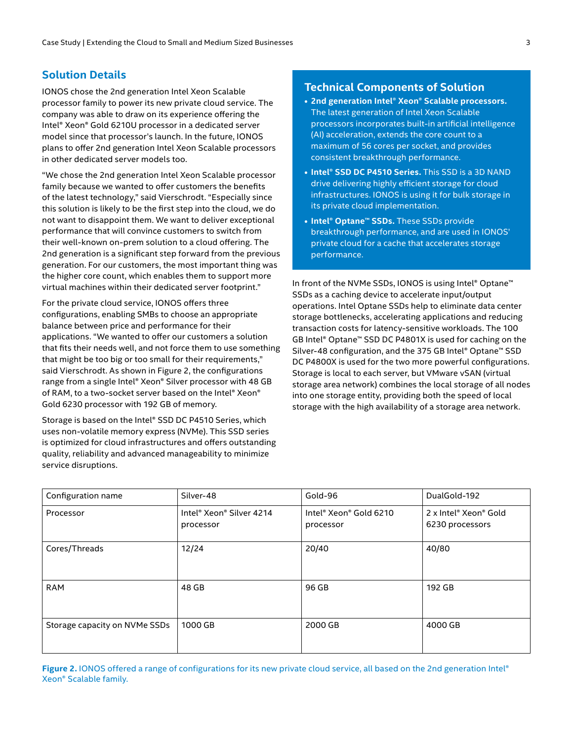# **Solution Details**

IONOS chose the 2nd generation Intel Xeon Scalable processor family to power its new private cloud service. The company was able to draw on its experience offering the Intel® Xeon® Gold 6210U processor in a dedicated server model since that processor's launch. In the future, IONOS plans to offer 2nd generation Intel Xeon Scalable processors in other dedicated server models too.

"We chose the 2nd generation Intel Xeon Scalable processor family because we wanted to offer customers the benefits of the latest technology," said Vierschrodt. "Especially since this solution is likely to be the first step into the cloud, we do not want to disappoint them. We want to deliver exceptional performance that will convince customers to switch from their well-known on-prem solution to a cloud offering. The 2nd generation is a significant step forward from the previous generation. For our customers, the most important thing was the higher core count, which enables them to support more virtual machines within their dedicated server footprint."

For the private cloud service, IONOS offers three configurations, enabling SMBs to choose an appropriate balance between price and performance for their applications. "We wanted to offer our customers a solution that fits their needs well, and not force them to use something that might be too big or too small for their requirements," said Vierschrodt. As shown in Figure 2, the configurations range from a single Intel® Xeon® Silver processor with 48 GB of RAM, to a two-socket server based on the Intel® Xeon® Gold 6230 processor with 192 GB of memory.

Storage is based on the Intel® SSD DC P4510 Series, which uses non-volatile memory express (NVMe). This SSD series is optimized for cloud infrastructures and offers outstanding quality, reliability and advanced manageability to minimize service disruptions.

### **Technical Components of Solution**

- **• 2nd generation Intel® Xeon® Scalable processors.** The latest generation of Intel Xeon Scalable processors incorporates built-in artificial intelligence (AI) acceleration, extends the core count to a maximum of 56 cores per socket, and provides consistent breakthrough performance.
- **• Intel® SSD DC P4510 Series.** This SSD is a 3D NAND drive delivering highly efficient storage for cloud infrastructures. IONOS is using it for bulk storage in its private cloud implementation.
- **• Intel® Optane™ SSDs.** These SSDs provide breakthrough performance, and are used in IONOS' private cloud for a cache that accelerates storage performance.

In front of the NVMe SSDs, IONOS is using Intel® Optane™ SSDs as a caching device to accelerate input/output operations. Intel Optane SSDs help to eliminate data center storage bottlenecks, accelerating applications and reducing transaction costs for latency-sensitive workloads. The 100 GB Intel® Optane™ SSD DC P4801X is used for caching on the Silver-48 configuration, and the 375 GB Intel® Optane™ SSD DC P4800X is used for the two more powerful configurations. Storage is local to each server, but VMware vSAN (virtual storage area network) combines the local storage of all nodes into one storage entity, providing both the speed of local storage with the high availability of a storage area network.

| Configuration name            | Silver-48                             | Gold-96                             | DualGold-192                             |
|-------------------------------|---------------------------------------|-------------------------------------|------------------------------------------|
| Processor                     | Intel® Xeon® Silver 4214<br>processor | Intel® Xeon® Gold 6210<br>processor | 2 x Intel® Xeon® Gold<br>6230 processors |
| Cores/Threads                 | 12/24                                 | 20/40                               | 40/80                                    |
| <b>RAM</b>                    | 48 GB                                 | 96 GB                               | 192 GB                                   |
| Storage capacity on NVMe SSDs | 1000 GB                               | 2000 GB                             | 4000 GB                                  |

Figure 2. IONOS offered a range of configurations for its new private cloud service, all based on the 2nd generation Intel® Xeon® Scalable family.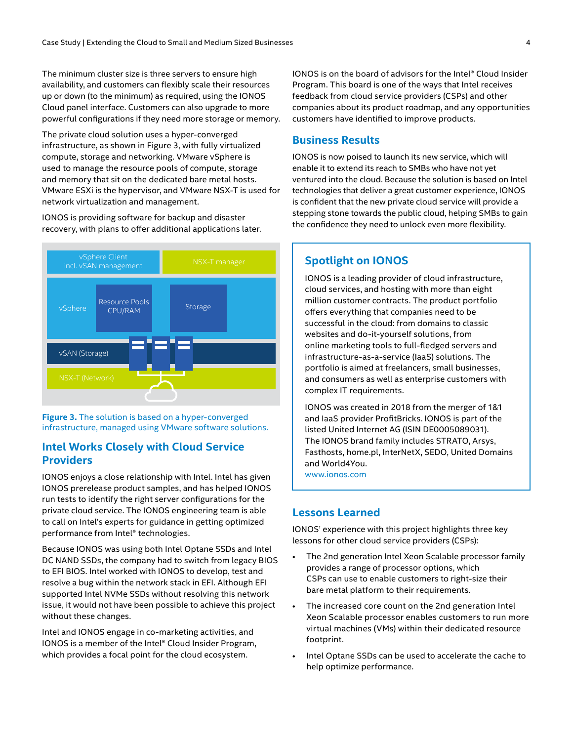The minimum cluster size is three servers to ensure high availability, and customers can flexibly scale their resources up or down (to the minimum) as required, using the IONOS Cloud panel interface. Customers can also upgrade to more powerful configurations if they need more storage or memory.

The private cloud solution uses a hyper-converged infrastructure, as shown in Figure 3, with fully virtualized compute, storage and networking. VMware vSphere is used to manage the resource pools of compute, storage and memory that sit on the dedicated bare metal hosts. VMware ESXi is the hypervisor, and VMware NSX-T is used for network virtualization and management.

IONOS is providing software for backup and disaster recovery, with plans to offer additional applications later.



**Figure 3.** The solution is based on a hyper-converged infrastructure, managed using VMware software solutions.

# **Intel Works Closely with Cloud Service Providers**

IONOS enjoys a close relationship with Intel. Intel has given IONOS prerelease product samples, and has helped IONOS run tests to identify the right server configurations for the private cloud service. The IONOS engineering team is able to call on Intel's experts for guidance in getting optimized performance from Intel® technologies.

Because IONOS was using both Intel Optane SSDs and Intel DC NAND SSDs, the company had to switch from legacy BIOS to EFI BIOS. Intel worked with IONOS to develop, test and resolve a bug within the network stack in EFI. Although EFI supported Intel NVMe SSDs without resolving this network issue, it would not have been possible to achieve this project without these changes.

Intel and IONOS engage in co-marketing activities, and IONOS is a member of the Intel® Cloud Insider Program, which provides a focal point for the cloud ecosystem.

IONOS is on the board of advisors for the Intel® Cloud Insider Program. This board is one of the ways that Intel receives feedback from cloud service providers (CSPs) and other companies about its product roadmap, and any opportunities customers have identified to improve products.

#### **Business Results**

IONOS is now poised to launch its new service, which will enable it to extend its reach to SMBs who have not yet ventured into the cloud. Because the solution is based on Intel technologies that deliver a great customer experience, IONOS is confident that the new private cloud service will provide a stepping stone towards the public cloud, helping SMBs to gain the confidence they need to unlock even more flexibility.

# **Spotlight on IONOS**

IONOS is a leading provider of cloud infrastructure, cloud services, and hosting with more than eight million customer contracts. The product portfolio offers everything that companies need to be successful in the cloud: from domains to classic websites and do-it-yourself solutions, from online marketing tools to full-fledged servers and infrastructure-as-a-service (IaaS) solutions. The portfolio is aimed at freelancers, small businesses, and consumers as well as enterprise customers with complex IT requirements.

IONOS was created in 2018 from the merger of 1&1 and IaaS provider ProfitBricks. IONOS is part of the listed United Internet AG (ISIN DE0005089031). The IONOS brand family includes STRATO, Arsys, Fasthosts, home.pl, InterNetX, SEDO, United Domains and World4You. [www.ionos.com](http://www.ionos.com)

#### **Lessons Learned**

IONOS' experience with this project highlights three key lessons for other cloud service providers (CSPs):

- The 2nd generation Intel Xeon Scalable processor family provides a range of processor options, which CSPs can use to enable customers to right-size their bare metal platform to their requirements.
- The increased core count on the 2nd generation Intel Xeon Scalable processor enables customers to run more virtual machines (VMs) within their dedicated resource footprint.
- Intel Optane SSDs can be used to accelerate the cache to help optimize performance.